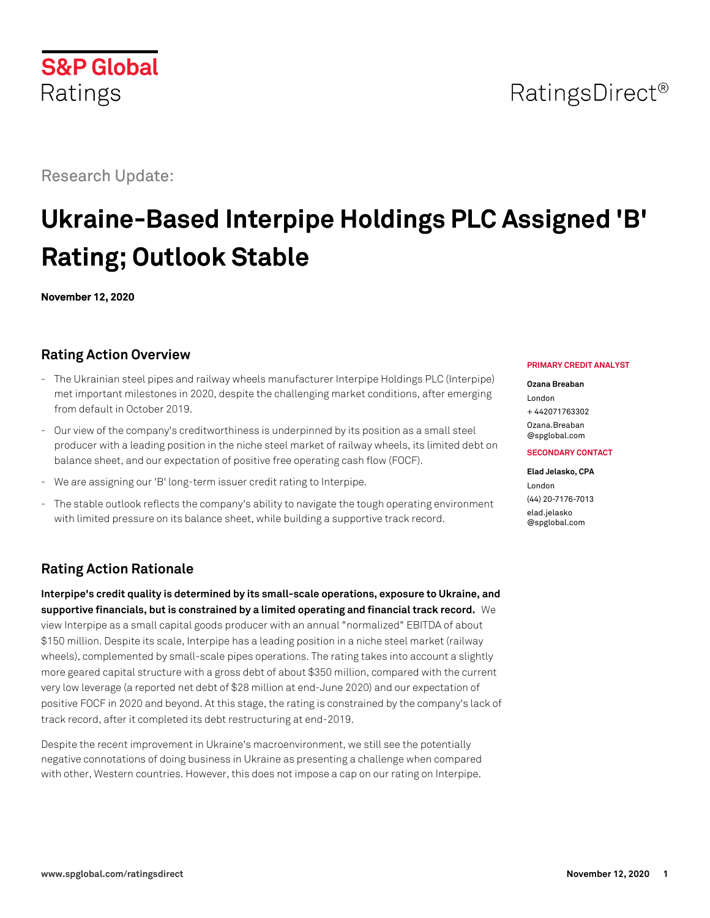# RatingsDirect<sup>®</sup>

# Research Update:

# **Ukraine-Based Interpipe Holdings PLC Assigned 'B' Rating; Outlook Stable**

**November 12, 2020**

# **Rating Action Overview**

- The Ukrainian steel pipes and railway wheels manufacturer Interpipe Holdings PLC (Interpipe) met important milestones in 2020, despite the challenging market conditions, after emerging from default in October 2019.
- Our view of the company's creditworthiness is underpinned by its position as a small steel producer with a leading position in the niche steel market of railway wheels, its limited debt on balance sheet, and our expectation of positive free operating cash flow (FOCF).
- We are assigning our 'B' long-term issuer credit rating to Interpipe.
- The stable outlook reflects the company's ability to navigate the tough operating environment with limited pressure on its balance sheet, while building a supportive track record.

# **Rating Action Rationale**

**Interpipe's credit quality is determined by its small-scale operations, exposure to Ukraine, and supportive financials, but is constrained by a limited operating and financial track record.** We view Interpipe as a small capital goods producer with an annual "normalized" EBITDA of about \$150 million. Despite its scale, Interpipe has a leading position in a niche steel market (railway wheels), complemented by small-scale pipes operations. The rating takes into account a slightly more geared capital structure with a gross debt of about \$350 million, compared with the current very low leverage (a reported net debt of \$28 million at end-June 2020) and our expectation of positive FOCF in 2020 and beyond. At this stage, the rating is constrained by the company's lack of track record, after it completed its debt restructuring at end-2019.

Despite the recent improvement in Ukraine's macroenvironment, we still see the potentially negative connotations of doing business in Ukraine as presenting a challenge when compared with other, Western countries. However, this does not impose a cap on our rating on Interpipe.

#### **PRIMARY CREDIT ANALYST**

#### **Ozana Breaban**

London + 442071763302 [Ozana.Breaban](mailto:Ozana.Breaban@spglobal.com)

[@spglobal.com](mailto:Ozana.Breaban@spglobal.com)

#### **SECONDARY CONTACT**

**Elad Jelasko, CPA** London (44) 20-7176-7013 [elad.jelasko](mailto:elad.jelasko@spglobal.com)

[@spglobal.com](mailto:elad.jelasko@spglobal.com)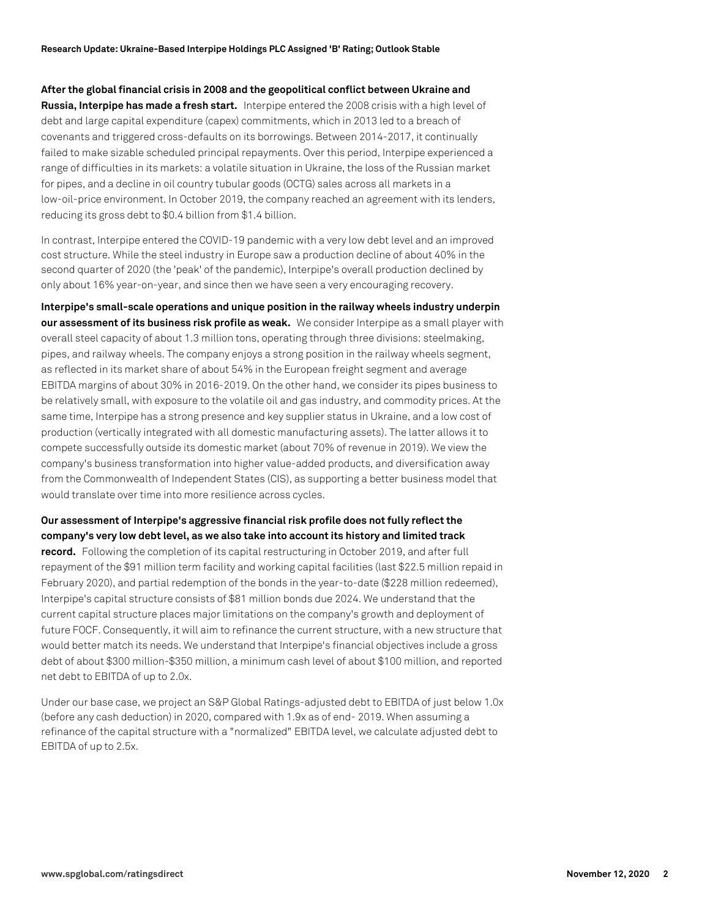**After the global financial crisis in 2008 and the geopolitical conflict between Ukraine and Russia, Interpipe has made a fresh start.** Interpipe entered the 2008 crisis with a high level of debt and large capital expenditure (capex) commitments, which in 2013 led to a breach of covenants and triggered cross-defaults on its borrowings. Between 2014-2017, it continually failed to make sizable scheduled principal repayments. Over this period, Interpipe experienced a range of difficulties in its markets: a volatile situation in Ukraine, the loss of the Russian market for pipes, and a decline in oil country tubular goods (OCTG) sales across all markets in a low-oil-price environment. In October 2019, the company reached an agreement with its lenders, reducing its gross debt to \$0.4 billion from \$1.4 billion.

In contrast, Interpipe entered the COVID-19 pandemic with a very low debt level and an improved cost structure. While the steel industry in Europe saw a production decline of about 40% in the second quarter of 2020 (the 'peak' of the pandemic), Interpipe's overall production declined by only about 16% year-on-year, and since then we have seen a very encouraging recovery.

**Interpipe's small-scale operations and unique position in the railway wheels industry underpin our assessment of its business risk profile as weak.** We consider Interpipe as a small player with overall steel capacity of about 1.3 million tons, operating through three divisions: steelmaking, pipes, and railway wheels. The company enjoys a strong position in the railway wheels segment, as reflected in its market share of about 54% in the European freight segment and average EBITDA margins of about 30% in 2016-2019. On the other hand, we consider its pipes business to be relatively small, with exposure to the volatile oil and gas industry, and commodity prices. At the same time, Interpipe has a strong presence and key supplier status in Ukraine, and a low cost of production (vertically integrated with all domestic manufacturing assets). The latter allows it to compete successfully outside its domestic market (about 70% of revenue in 2019). We view the company's business transformation into higher value-added products, and diversification away from the Commonwealth of Independent States (CIS), as supporting a better business model that would translate over time into more resilience across cycles.

### **Our assessment of Interpipe's aggressive financial risk profile does not fully reflect the company's very low debt level, as we also take into account its history and limited track**

**record.** Following the completion of its capital restructuring in October 2019, and after full repayment of the \$91 million term facility and working capital facilities (last \$22.5 million repaid in February 2020), and partial redemption of the bonds in the year-to-date (\$228 million redeemed), Interpipe's capital structure consists of \$81 million bonds due 2024. We understand that the current capital structure places major limitations on the company's growth and deployment of future FOCF. Consequently, it will aim to refinance the current structure, with a new structure that would better match its needs. We understand that Interpipe's financial objectives include a gross debt of about \$300 million-\$350 million, a minimum cash level of about \$100 million, and reported net debt to EBITDA of up to 2.0x.

Under our base case, we project an S&P Global Ratings-adjusted debt to EBITDA of just below 1.0x (before any cash deduction) in 2020, compared with 1.9x as of end- 2019. When assuming a refinance of the capital structure with a "normalized" EBITDA level, we calculate adjusted debt to EBITDA of up to 2.5x.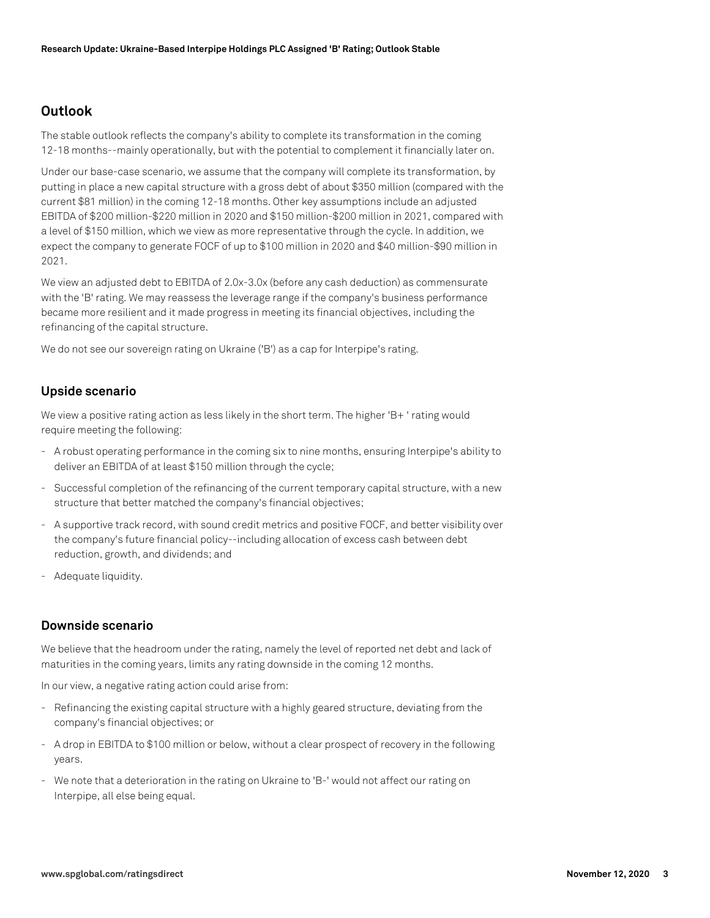## **Outlook**

The stable outlook reflects the company's ability to complete its transformation in the coming 12-18 months--mainly operationally, but with the potential to complement it financially later on.

Under our base-case scenario, we assume that the company will complete its transformation, by putting in place a new capital structure with a gross debt of about \$350 million (compared with the current \$81 million) in the coming 12-18 months. Other key assumptions include an adjusted EBITDA of \$200 million-\$220 million in 2020 and \$150 million-\$200 million in 2021, compared with a level of \$150 million, which we view as more representative through the cycle. In addition, we expect the company to generate FOCF of up to \$100 million in 2020 and \$40 million-\$90 million in 2021.

We view an adjusted debt to EBITDA of 2.0x-3.0x (before any cash deduction) as commensurate with the 'B' rating. We may reassess the leverage range if the company's business performance became more resilient and it made progress in meeting its financial objectives, including the refinancing of the capital structure.

We do not see our sovereign rating on Ukraine ('B') as a cap for Interpipe's rating.

### **Upside scenario**

We view a positive rating action as less likely in the short term. The higher 'B+ ' rating would require meeting the following:

- A robust operating performance in the coming six to nine months, ensuring Interpipe's ability to deliver an EBITDA of at least \$150 million through the cycle;
- Successful completion of the refinancing of the current temporary capital structure, with a new structure that better matched the company's financial objectives;
- A supportive track record, with sound credit metrics and positive FOCF, and better visibility over the company's future financial policy--including allocation of excess cash between debt reduction, growth, and dividends; and
- Adequate liquidity.

#### **Downside scenario**

We believe that the headroom under the rating, namely the level of reported net debt and lack of maturities in the coming years, limits any rating downside in the coming 12 months.

In our view, a negative rating action could arise from:

- Refinancing the existing capital structure with a highly geared structure, deviating from the company's financial objectives; or
- A drop in EBITDA to \$100 million or below, without a clear prospect of recovery in the following years.
- We note that a deterioration in the rating on Ukraine to 'B-' would not affect our rating on Interpipe, all else being equal.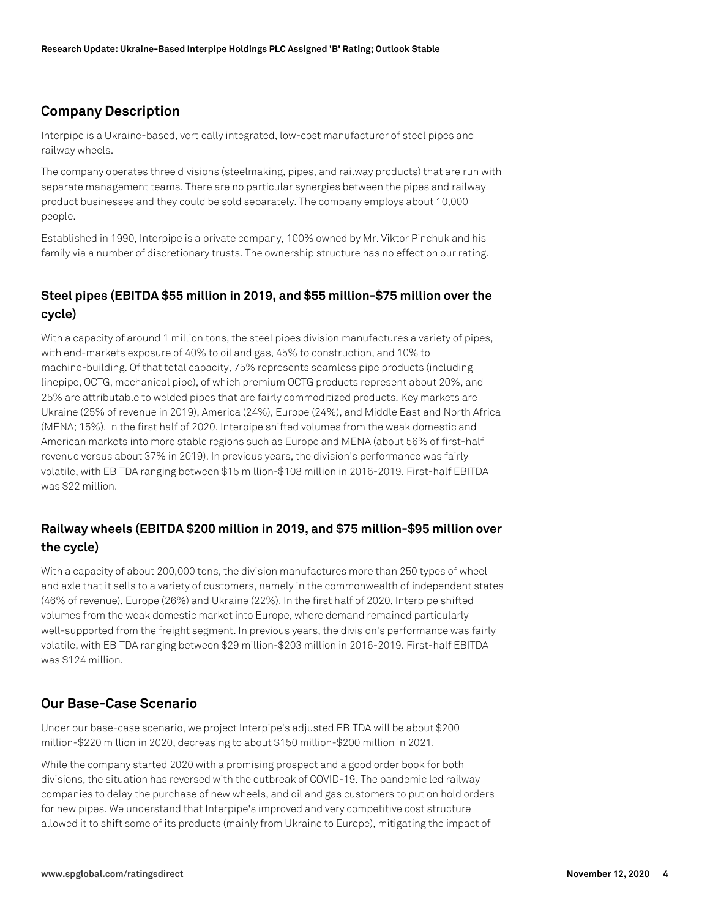# **Company Description**

Interpipe is a Ukraine-based, vertically integrated, low-cost manufacturer of steel pipes and railway wheels.

The company operates three divisions (steelmaking, pipes, and railway products) that are run with separate management teams. There are no particular synergies between the pipes and railway product businesses and they could be sold separately. The company employs about 10,000 people.

Established in 1990, Interpipe is a private company, 100% owned by Mr. Viktor Pinchuk and his family via a number of discretionary trusts. The ownership structure has no effect on our rating.

# **Steel pipes (EBITDA \$55 million in 2019, and \$55 million-\$75 million over the cycle)**

With a capacity of around 1 million tons, the steel pipes division manufactures a variety of pipes, with end-markets exposure of 40% to oil and gas, 45% to construction, and 10% to machine-building. Of that total capacity, 75% represents seamless pipe products (including linepipe, OCTG, mechanical pipe), of which premium OCTG products represent about 20%, and 25% are attributable to welded pipes that are fairly commoditized products. Key markets are Ukraine (25% of revenue in 2019), America (24%), Europe (24%), and Middle East and North Africa (MENA; 15%). In the first half of 2020, Interpipe shifted volumes from the weak domestic and American markets into more stable regions such as Europe and MENA (about 56% of first-half revenue versus about 37% in 2019). In previous years, the division's performance was fairly volatile, with EBITDA ranging between \$15 million-\$108 million in 2016-2019. First-half EBITDA was \$22 million.

# **Railway wheels (EBITDA \$200 million in 2019, and \$75 million-\$95 million over the cycle)**

With a capacity of about 200,000 tons, the division manufactures more than 250 types of wheel and axle that it sells to a variety of customers, namely in the commonwealth of independent states (46% of revenue), Europe (26%) and Ukraine (22%). In the first half of 2020, Interpipe shifted volumes from the weak domestic market into Europe, where demand remained particularly well-supported from the freight segment. In previous years, the division's performance was fairly volatile, with EBITDA ranging between \$29 million-\$203 million in 2016-2019. First-half EBITDA was \$124 million.

## **Our Base-Case Scenario**

Under our base-case scenario, we project Interpipe's adjusted EBITDA will be about \$200 million-\$220 million in 2020, decreasing to about \$150 million-\$200 million in 2021.

While the company started 2020 with a promising prospect and a good order book for both divisions, the situation has reversed with the outbreak of COVID-19. The pandemic led railway companies to delay the purchase of new wheels, and oil and gas customers to put on hold orders for new pipes. We understand that Interpipe's improved and very competitive cost structure allowed it to shift some of its products (mainly from Ukraine to Europe), mitigating the impact of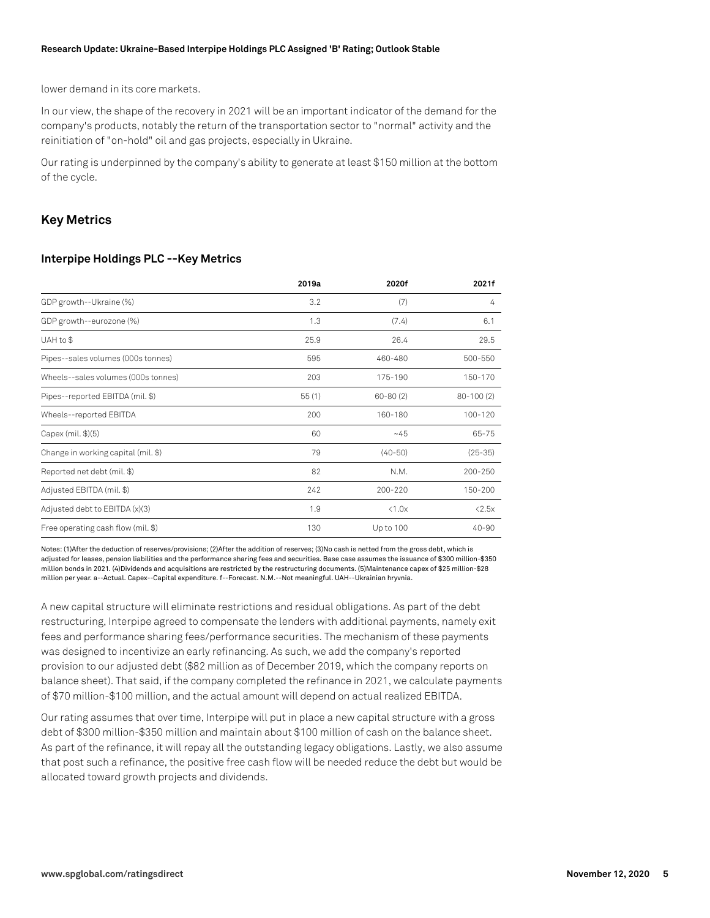#### **Research Update: Ukraine-Based Interpipe Holdings PLC Assigned 'B' Rating; Outlook Stable**

lower demand in its core markets.

In our view, the shape of the recovery in 2021 will be an important indicator of the demand for the company's products, notably the return of the transportation sector to "normal" activity and the reinitiation of "on-hold" oil and gas projects, especially in Ukraine.

Our rating is underpinned by the company's ability to generate at least \$150 million at the bottom of the cycle.

#### **Key Metrics**

#### **Interpipe Holdings PLC --Key Metrics**

|                                     | 2019a | 2020f          | 2021f         |
|-------------------------------------|-------|----------------|---------------|
| GDP growth--Ukraine (%)             | 3.2   | (7)            | 4             |
| GDP growth--eurozone (%)            | 1.3   | (7.4)          | 6.1           |
| UAH to \$                           | 25.9  | 26.4           | 29.5          |
| Pipes--sales volumes (000s tonnes)  | 595   | 460-480        | 500-550       |
| Wheels--sales volumes (000s tonnes) | 203   | 175-190        | 150-170       |
| Pipes--reported EBITDA (mil. \$)    | 55(1) | $60 - 80(2)$   | $80 - 100(2)$ |
| Wheels--reported EBITDA             | 200   | 160-180        | 100-120       |
| Capex (mil. \$)(5)                  | 60    | $-45$          | 65-75         |
| Change in working capital (mil. \$) | 79    | $(40-50)$      | $(25-35)$     |
| Reported net debt (mil. \$)         | 82    | N.M.           | 200-250       |
| Adjusted EBITDA (mil. \$)           | 242   | 200-220        | 150-200       |
| Adjusted debt to EBITDA (x)(3)      | 1.9   | $\langle 1.0x$ | < 2.5x        |
| Free operating cash flow (mil. \$)  | 130   | Up to 100      | $40 - 90$     |

Notes: (1)After the deduction of reserves/provisions; (2)After the addition of reserves; (3)No cash is netted from the gross debt, which is adjusted for leases, pension liabilities and the performance sharing fees and securities. Base case assumes the issuance of \$300 million-\$350 million bonds in 2021. (4)Dividends and acquisitions are restricted by the restructuring documents. (5)Maintenance capex of \$25 million-\$28 million per year. a--Actual. Capex--Capital expenditure. f--Forecast. N.M.--Not meaningful. UAH--Ukrainian hryvnia.

A new capital structure will eliminate restrictions and residual obligations. As part of the debt restructuring, Interpipe agreed to compensate the lenders with additional payments, namely exit fees and performance sharing fees/performance securities. The mechanism of these payments was designed to incentivize an early refinancing. As such, we add the company's reported provision to our adjusted debt (\$82 million as of December 2019, which the company reports on balance sheet). That said, if the company completed the refinance in 2021, we calculate payments of \$70 million-\$100 million, and the actual amount will depend on actual realized EBITDA.

Our rating assumes that over time, Interpipe will put in place a new capital structure with a gross debt of \$300 million-\$350 million and maintain about \$100 million of cash on the balance sheet. As part of the refinance, it will repay all the outstanding legacy obligations. Lastly, we also assume that post such a refinance, the positive free cash flow will be needed reduce the debt but would be allocated toward growth projects and dividends.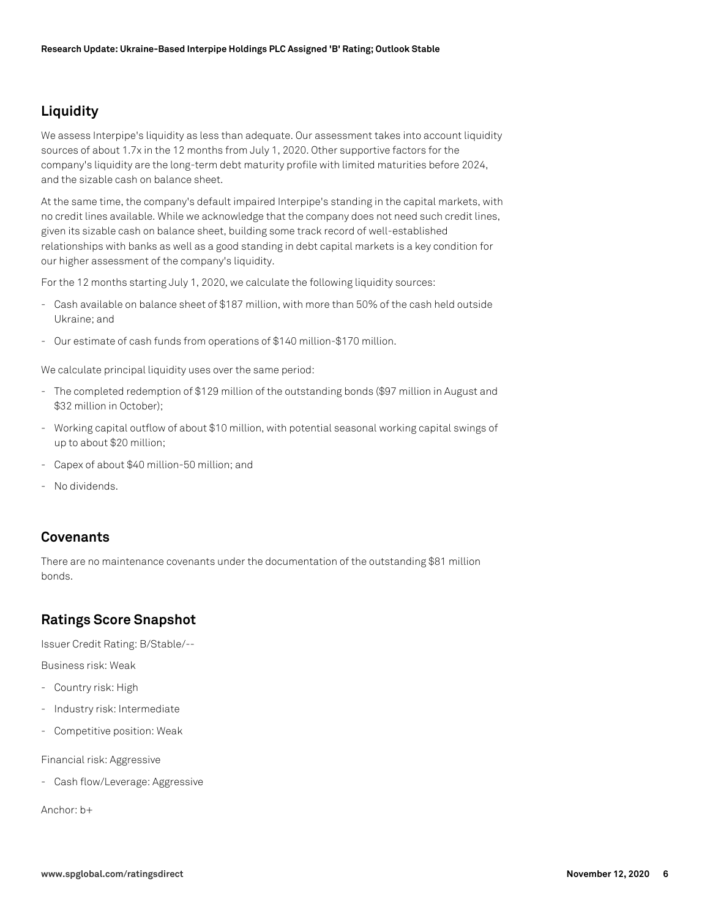# **Liquidity**

We assess Interpipe's liquidity as less than adequate. Our assessment takes into account liquidity sources of about 1.7x in the 12 months from July 1, 2020. Other supportive factors for the company's liquidity are the long-term debt maturity profile with limited maturities before 2024, and the sizable cash on balance sheet.

At the same time, the company's default impaired Interpipe's standing in the capital markets, with no credit lines available. While we acknowledge that the company does not need such credit lines, given its sizable cash on balance sheet, building some track record of well-established relationships with banks as well as a good standing in debt capital markets is a key condition for our higher assessment of the company's liquidity.

For the 12 months starting July 1, 2020, we calculate the following liquidity sources:

- Cash available on balance sheet of \$187 million, with more than 50% of the cash held outside Ukraine; and
- Our estimate of cash funds from operations of \$140 million-\$170 million.

We calculate principal liquidity uses over the same period:

- The completed redemption of \$129 million of the outstanding bonds (\$97 million in August and \$32 million in October);
- Working capital outflow of about \$10 million, with potential seasonal working capital swings of up to about \$20 million;
- Capex of about \$40 million-50 million; and
- No dividends.

## **Covenants**

There are no maintenance covenants under the documentation of the outstanding \$81 million bonds.

## **Ratings Score Snapshot**

Issuer Credit Rating: B/Stable/--

Business risk: Weak

- Country risk: High
- Industry risk: Intermediate
- Competitive position: Weak

Financial risk: Aggressive

- Cash flow/Leverage: Aggressive

Anchor: b+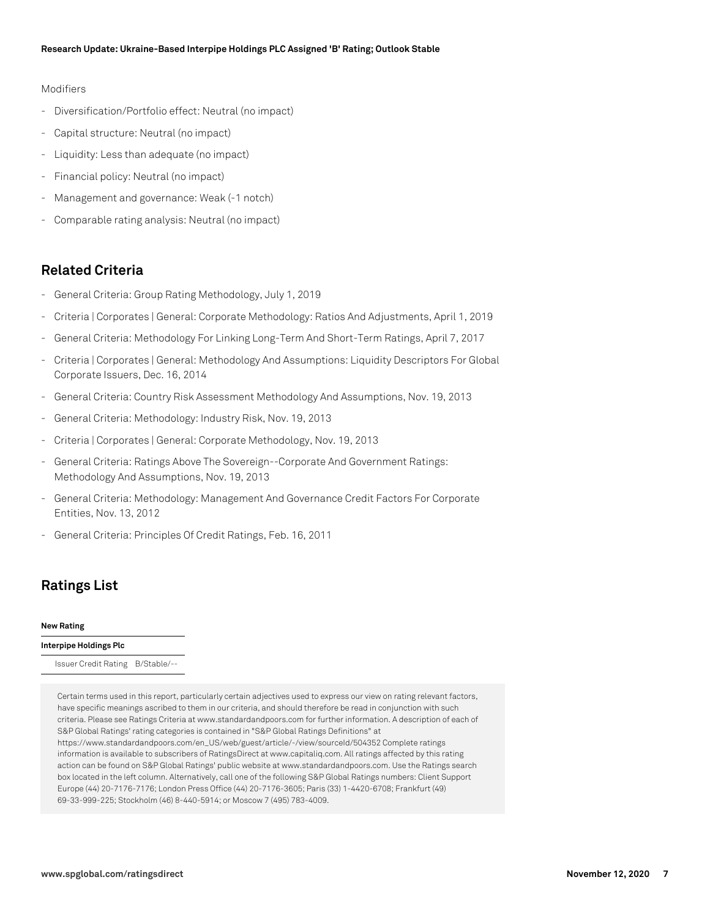#### Modifiers

- Diversification/Portfolio effect: Neutral (no impact)
- Capital structure: Neutral (no impact)
- Liquidity: Less than adequate (no impact)
- Financial policy: Neutral (no impact)
- Management and governance: Weak (-1 notch)
- Comparable rating analysis: Neutral (no impact)

## **Related Criteria**

- General Criteria: Group Rating Methodology, July 1, 2019
- Criteria | Corporates | General: Corporate Methodology: Ratios And Adjustments, April 1, 2019
- General Criteria: Methodology For Linking Long-Term And Short-Term Ratings, April 7, 2017
- Criteria | Corporates | General: Methodology And Assumptions: Liquidity Descriptors For Global Corporate Issuers, Dec. 16, 2014
- General Criteria: Country Risk Assessment Methodology And Assumptions, Nov. 19, 2013
- General Criteria: Methodology: Industry Risk, Nov. 19, 2013
- Criteria | Corporates | General: Corporate Methodology, Nov. 19, 2013
- General Criteria: Ratings Above The Sovereign--Corporate And Government Ratings: Methodology And Assumptions, Nov. 19, 2013
- General Criteria: Methodology: Management And Governance Credit Factors For Corporate Entities, Nov. 13, 2012
- General Criteria: Principles Of Credit Ratings, Feb. 16, 2011

## **Ratings List**

#### **New Rating**

#### **Interpipe Holdings Plc**

Issuer Credit Rating B/Stable/--

Certain terms used in this report, particularly certain adjectives used to express our view on rating relevant factors, have specific meanings ascribed to them in our criteria, and should therefore be read in conjunction with such criteria. Please see Ratings Criteria at www.standardandpoors.com for further information. A description of each of S&P Global Ratings' rating categories is contained in "S&P Global Ratings Definitions" at https://www.standardandpoors.com/en\_US/web/guest/article/-/view/sourceId/504352 Complete ratings information is available to subscribers of RatingsDirect at www.capitaliq.com. All ratings affected by this rating action can be found on S&P Global Ratings' public website at www.standardandpoors.com. Use the Ratings search box located in the left column. Alternatively, call one of the following S&P Global Ratings numbers: Client Support Europe (44) 20-7176-7176; London Press Office (44) 20-7176-3605; Paris (33) 1-4420-6708; Frankfurt (49) 69-33-999-225; Stockholm (46) 8-440-5914; or Moscow 7 (495) 783-4009.